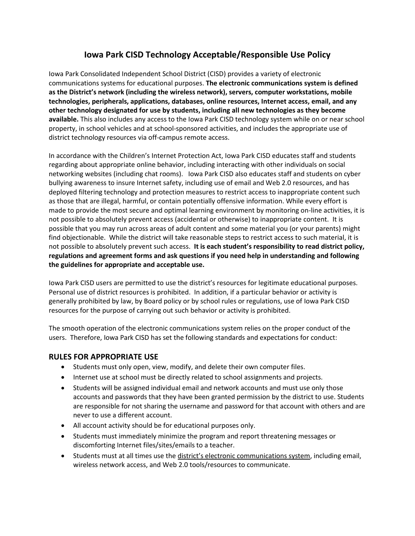# **Iowa Park CISD Technology Acceptable/Responsible Use Policy**

Iowa Park Consolidated Independent School District (CISD) provides a variety of electronic communications systems for educational purposes. **The electronic communications system is defined as the District's network (including the wireless network), servers, computer workstations, mobile technologies, peripherals, applications, databases, online resources, Internet access, email, and any other technology designated for use by students, including all new technologies as they become available.** This also includes any access to the Iowa Park CISD technology system while on or near school property, in school vehicles and at school-sponsored activities, and includes the appropriate use of district technology resources via off-campus remote access.

In accordance with the Children's Internet Protection Act, Iowa Park CISD educates staff and students regarding about appropriate online behavior, including interacting with other individuals on social networking websites (including chat rooms). Iowa Park CISD also educates staff and students on cyber bullying awareness to insure Internet safety, including use of email and Web 2.0 resources, and has deployed filtering technology and protection measures to restrict access to inappropriate content such as those that are illegal, harmful, or contain potentially offensive information. While every effort is made to provide the most secure and optimal learning environment by monitoring on-line activities, it is not possible to absolutely prevent access (accidental or otherwise) to inappropriate content. It is possible that you may run across areas of adult content and some material you (or your parents) might find objectionable. While the district will take reasonable steps to restrict access to such material, it is not possible to absolutely prevent such access. **It is each student's responsibility to read district policy, regulations and agreement forms and ask questions if you need help in understanding and following the guidelines for appropriate and acceptable use.** 

Iowa Park CISD users are permitted to use the district's resources for legitimate educational purposes. Personal use of district resources is prohibited. In addition, if a particular behavior or activity is generally prohibited by law, by Board policy or by school rules or regulations, use of Iowa Park CISD resources for the purpose of carrying out such behavior or activity is prohibited.

The smooth operation of the electronic communications system relies on the proper conduct of the users. Therefore, Iowa Park CISD has set the following standards and expectations for conduct:

#### **RULES FOR APPROPRIATE USE**

- Students must only open, view, modify, and delete their own computer files.
- Internet use at school must be directly related to school assignments and projects.
- Students will be assigned individual email and network accounts and must use only those accounts and passwords that they have been granted permission by the district to use. Students are responsible for not sharing the username and password for that account with others and are never to use a different account.
- All account activity should be for educational purposes only.
- Students must immediately minimize the program and report threatening messages or discomforting Internet files/sites/emails to a teacher.
- Students must at all times use the district's electronic communications system, including email, wireless network access, and Web 2.0 tools/resources to communicate.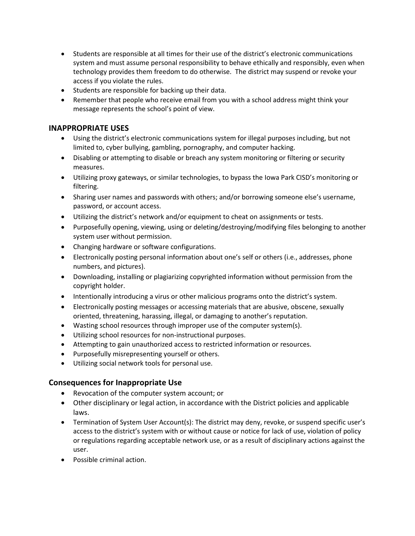- Students are responsible at all times for their use of the district's electronic communications system and must assume personal responsibility to behave ethically and responsibly, even when technology provides them freedom to do otherwise. The district may suspend or revoke your access if you violate the rules.
- Students are responsible for backing up their data.
- Remember that people who receive email from you with a school address might think your message represents the school's point of view.

## **INAPPROPRIATE USES**

- Using the district's electronic communications system for illegal purposes including, but not limited to, cyber bullying, gambling, pornography, and computer hacking.
- Disabling or attempting to disable or breach any system monitoring or filtering or security measures.
- Utilizing proxy gateways, or similar technologies, to bypass the Iowa Park CISD's monitoring or filtering.
- Sharing user names and passwords with others; and/or borrowing someone else's username, password, or account access.
- Utilizing the district's network and/or equipment to cheat on assignments or tests.
- Purposefully opening, viewing, using or deleting/destroying/modifying files belonging to another system user without permission.
- Changing hardware or software configurations.
- Electronically posting personal information about one's self or others (i.e., addresses, phone numbers, and pictures).
- Downloading, installing or plagiarizing copyrighted information without permission from the copyright holder.
- Intentionally introducing a virus or other malicious programs onto the district's system.
- Electronically posting messages or accessing materials that are abusive, obscene, sexually oriented, threatening, harassing, illegal, or damaging to another's reputation.
- Wasting school resources through improper use of the computer system(s).
- Utilizing school resources for non-instructional purposes.
- Attempting to gain unauthorized access to restricted information or resources.
- Purposefully misrepresenting yourself or others.
- Utilizing social network tools for personal use.

#### **Consequences for Inappropriate Use**

- Revocation of the computer system account; or
- Other disciplinary or legal action, in accordance with the District policies and applicable laws.
- Termination of System User Account(s): The district may deny, revoke, or suspend specific user's access to the district's system with or without cause or notice for lack of use, violation of policy or regulations regarding acceptable network use, or as a result of disciplinary actions against the user.
- Possible criminal action.